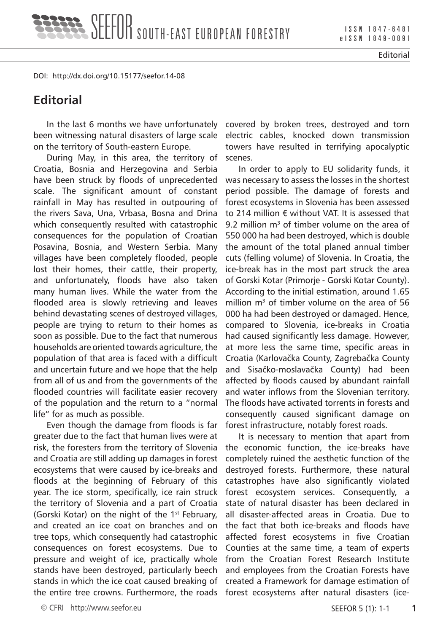I S S N 1 8 4 7 - 6 4 8 1 e I S S N 1 8 4 9 - 0 8 9 1

Editorial

DOI: http://dx.doi.org/10.15177/seefor.14-08

## **Editorial**

In the last 6 months we have unfortunately been witnessing natural disasters of large scale on the territory of South-eastern Europe.

During May, in this area, the territory of Croatia, Bosnia and Herzegovina and Serbia have been struck by floods of unprecedented scale. The significant amount of constant rainfall in May has resulted in outpouring of the rivers Sava, Una, Vrbasa, Bosna and Drina which consequently resulted with catastrophic consequences for the population of Croatian Posavina, Bosnia, and Western Serbia. Many villages have been completely flooded, people lost their homes, their cattle, their property, and unfortunately, floods have also taken many human lives. While the water from the flooded area is slowly retrieving and leaves behind devastating scenes of destroyed villages, people are trying to return to their homes as soon as possible. Due to the fact that numerous households are oriented towards agriculture, the population of that area is faced with a difficult and uncertain future and we hope that the help from all of us and from the governments of the flooded countries will facilitate easier recovery of the population and the return to a "normal life" for as much as possible.

Even though the damage from floods is far greater due to the fact that human lives were at risk, the foresters from the territory of Slovenia and Croatia are still adding up damages in forest ecosystems that were caused by ice-breaks and floods at the beginning of February of this year. The ice storm, specifically, ice rain struck the territory of Slovenia and a part of Croatia (Gorski Kotar) on the night of the 1<sup>st</sup> February, and created an ice coat on branches and on tree tops, which consequently had catastrophic consequences on forest ecosystems. Due to pressure and weight of ice, practically whole stands have been destroyed, particularly beech stands in which the ice coat caused breaking of the entire tree crowns. Furthermore, the roads forest ecosystems after natural disasters (ice-

covered by broken trees, destroyed and torn electric cables, knocked down transmission towers have resulted in terrifying apocalyptic scenes.

In order to apply to EU solidarity funds, it was necessary to assess the losses in the shortest period possible. The damage of forests and forest ecosystems in Slovenia has been assessed to 214 million € without VAT. It is assessed that 9.2 million  $m<sup>3</sup>$  of timber volume on the area of 550 000 ha had been destroyed, which is double the amount of the total planed annual timber cuts (felling volume) of Slovenia. In Croatia, the ice-break has in the most part struck the area of Gorski Kotar (Primorje - Gorski Kotar County). According to the initial estimation, around 1.65 million  $m<sup>3</sup>$  of timber volume on the area of 56 000 ha had been destroyed or damaged. Hence, compared to Slovenia, ice-breaks in Croatia had caused significantly less damage. However, at more less the same time, specific areas in Croatia (Karlovačka County, Zagrebačka County and Sisačko-moslavačka County) had been affected by floods caused by abundant rainfall and water inflows from the Slovenian territory. The floods have activated torrents in forests and consequently caused significant damage on forest infrastructure, notably forest roads.

It is necessary to mention that apart from the economic function, the ice-breaks have completely ruined the aesthetic function of the destroyed forests. Furthermore, these natural catastrophes have also significantly violated forest ecosystem services. Consequently, a state of natural disaster has been declared in all disaster-affected areas in Croatia. Due to the fact that both ice-breaks and floods have affected forest ecosystems in five Croatian Counties at the same time, a team of experts from the Croatian Forest Research Institute and employees from the Croatian Forests have created a Framework for damage estimation of